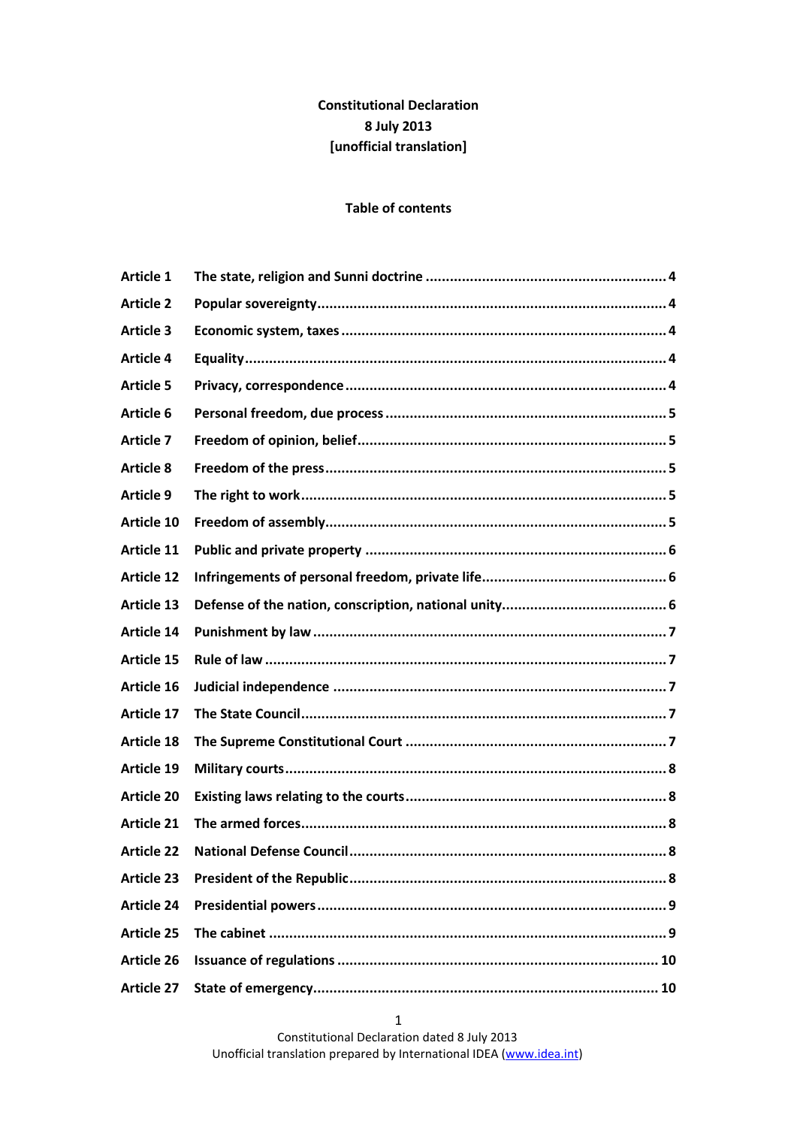# **Constitutional Declaration 8 July 2013 [unofficial translation]**

#### **Table of contents**

| <b>Article 1</b>  |  |
|-------------------|--|
| <b>Article 2</b>  |  |
| <b>Article 3</b>  |  |
| <b>Article 4</b>  |  |
| <b>Article 5</b>  |  |
| <b>Article 6</b>  |  |
| <b>Article 7</b>  |  |
| <b>Article 8</b>  |  |
| <b>Article 9</b>  |  |
| <b>Article 10</b> |  |
| <b>Article 11</b> |  |
| <b>Article 12</b> |  |
| <b>Article 13</b> |  |
| <b>Article 14</b> |  |
| Article 15        |  |
| Article 16        |  |
| <b>Article 17</b> |  |
| <b>Article 18</b> |  |
| <b>Article 19</b> |  |
| <b>Article 20</b> |  |
| <b>Article 21</b> |  |
| <b>Article 22</b> |  |
| <b>Article 23</b> |  |
| <b>Article 24</b> |  |
| <b>Article 25</b> |  |
| <b>Article 26</b> |  |
| <b>Article 27</b> |  |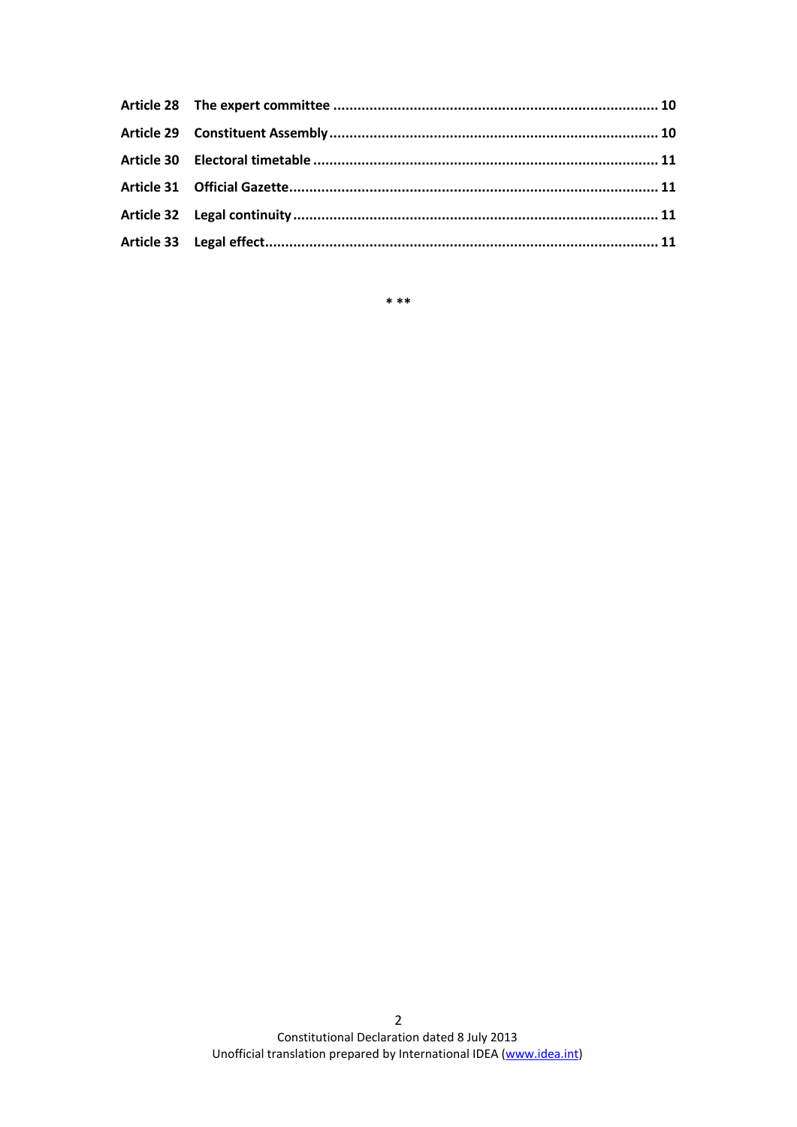**\* \*\***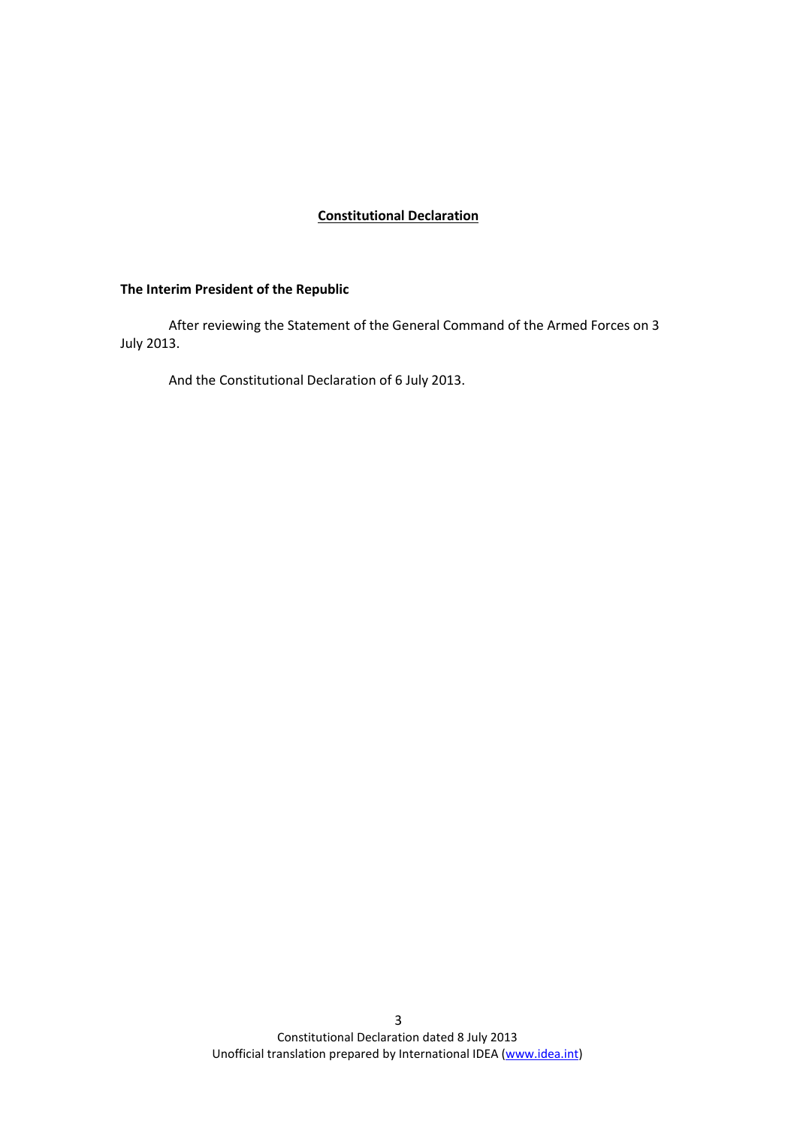## **Constitutional Declaration**

## **The Interim President of the Republic**

After reviewing the Statement of the General Command of the Armed Forces on 3 July 2013.

And the Constitutional Declaration of 6 July 2013.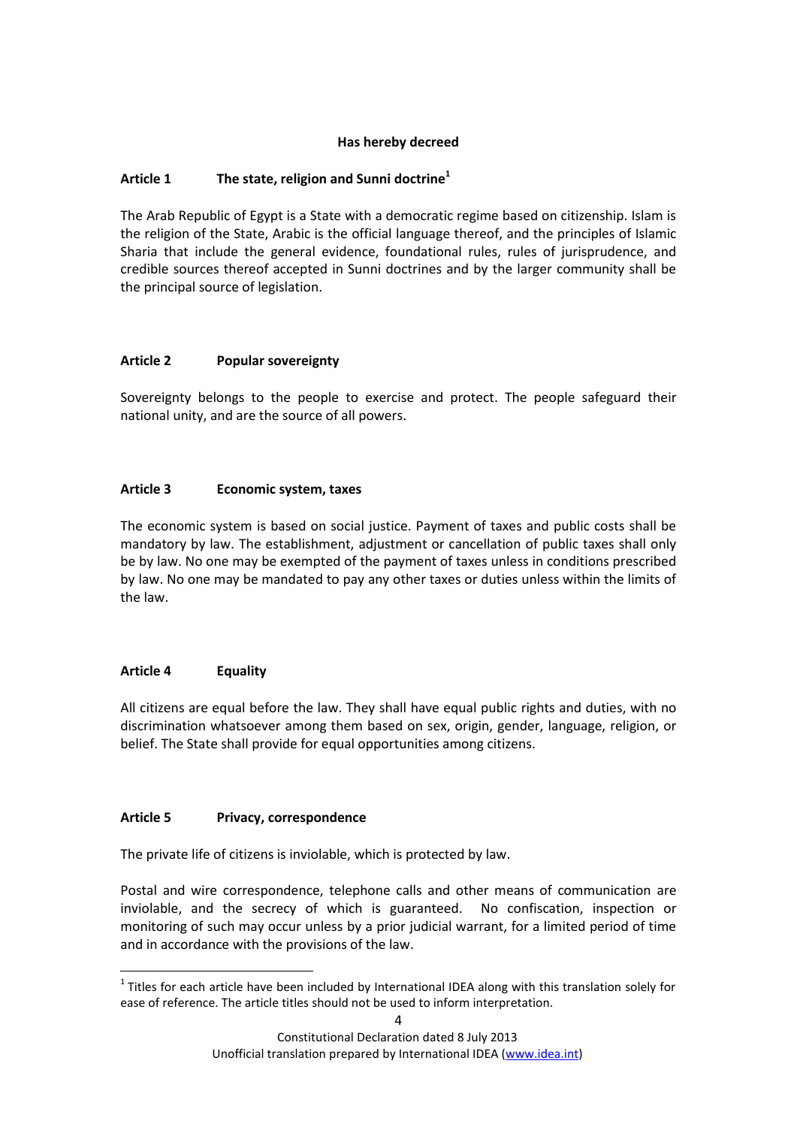## **Has hereby decreed**

## <span id="page-3-0"></span>**Article 1 The state, religion and Sunni doctrine<sup>1</sup>**

The Arab Republic of Egypt is a State with a democratic regime based on citizenship. Islam is the religion of the State, Arabic is the official language thereof, and the principles of Islamic Sharia that include the general evidence, foundational rules, rules of jurisprudence, and credible sources thereof accepted in Sunni doctrines and by the larger community shall be the principal source of legislation.

## <span id="page-3-1"></span>**Article 2 Popular sovereignty**

Sovereignty belongs to the people to exercise and protect. The people safeguard their national unity, and are the source of all powers.

## <span id="page-3-2"></span>**Article 3 Economic system, taxes**

The economic system is based on social justice. Payment of taxes and public costs shall be mandatory by law. The establishment, adjustment or cancellation of public taxes shall only be by law. No one may be exempted of the payment of taxes unless in conditions prescribed by law. No one may be mandated to pay any other taxes or duties unless within the limits of the law.

## <span id="page-3-3"></span>**Article 4 Equality**

**.** 

All citizens are equal before the law. They shall have equal public rights and duties, with no discrimination whatsoever among them based on sex, origin, gender, language, religion, or belief. The State shall provide for equal opportunities among citizens.

## <span id="page-3-4"></span>**Article 5 Privacy, correspondence**

The private life of citizens is inviolable, which is protected by law.

Postal and wire correspondence, telephone calls and other means of communication are inviolable, and the secrecy of which is guaranteed. No confiscation, inspection or monitoring of such may occur unless by a prior judicial warrant, for a limited period of time and in accordance with the provisions of the law.

 $1$  Titles for each article have been included by International IDEA along with this translation solely for ease of reference. The article titles should not be used to inform interpretation.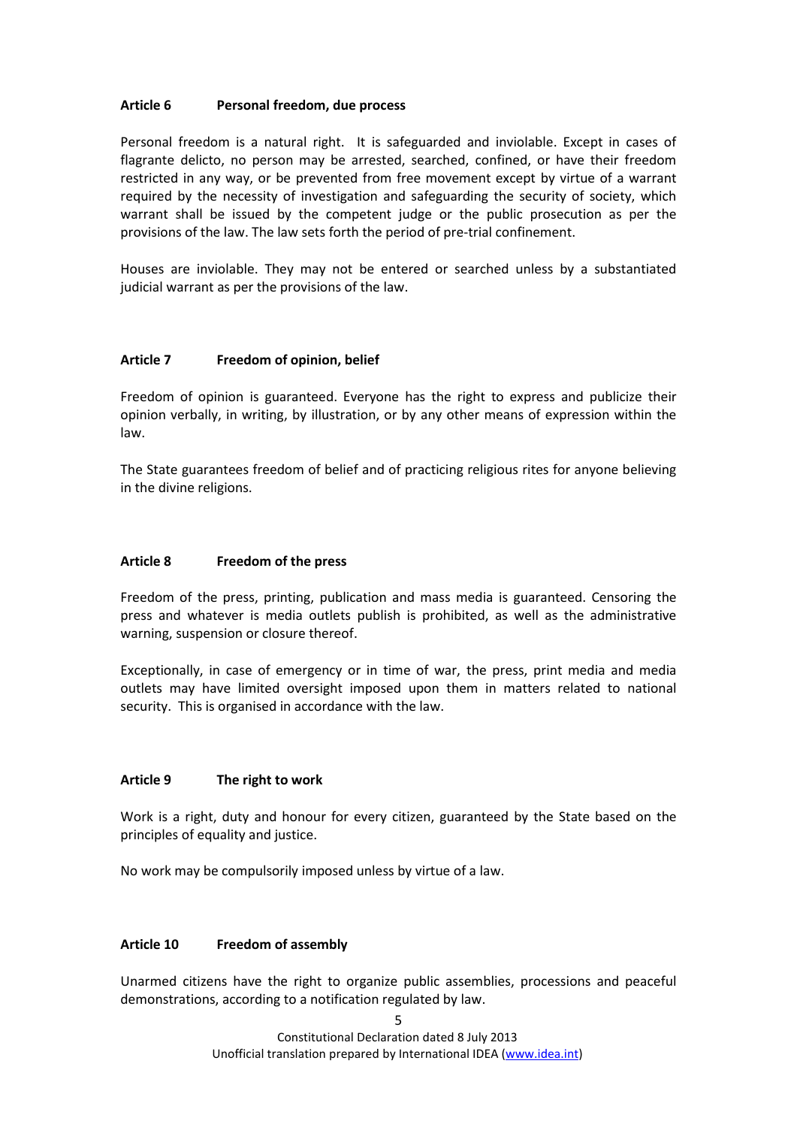#### <span id="page-4-0"></span>**Article 6 Personal freedom, due process**

Personal freedom is a natural right. It is safeguarded and inviolable. Except in cases of flagrante delicto, no person may be arrested, searched, confined, or have their freedom restricted in any way, or be prevented from free movement except by virtue of a warrant required by the necessity of investigation and safeguarding the security of society, which warrant shall be issued by the competent judge or the public prosecution as per the provisions of the law. The law sets forth the period of pre-trial confinement.

Houses are inviolable. They may not be entered or searched unless by a substantiated judicial warrant as per the provisions of the law.

#### <span id="page-4-1"></span>**Article 7 Freedom of opinion, belief**

Freedom of opinion is guaranteed. Everyone has the right to express and publicize their opinion verbally, in writing, by illustration, or by any other means of expression within the law.

The State guarantees freedom of belief and of practicing religious rites for anyone believing in the divine religions.

#### <span id="page-4-2"></span>**Article 8 Freedom of the press**

Freedom of the press, printing, publication and mass media is guaranteed. Censoring the press and whatever is media outlets publish is prohibited, as well as the administrative warning, suspension or closure thereof.

Exceptionally, in case of emergency or in time of war, the press, print media and media outlets may have limited oversight imposed upon them in matters related to national security. This is organised in accordance with the law.

## <span id="page-4-3"></span>**Article 9 The right to work**

Work is a right, duty and honour for every citizen, guaranteed by the State based on the principles of equality and justice.

No work may be compulsorily imposed unless by virtue of a law.

#### <span id="page-4-4"></span>**Article 10 Freedom of assembly**

Unarmed citizens have the right to organize public assemblies, processions and peaceful demonstrations, according to a notification regulated by law.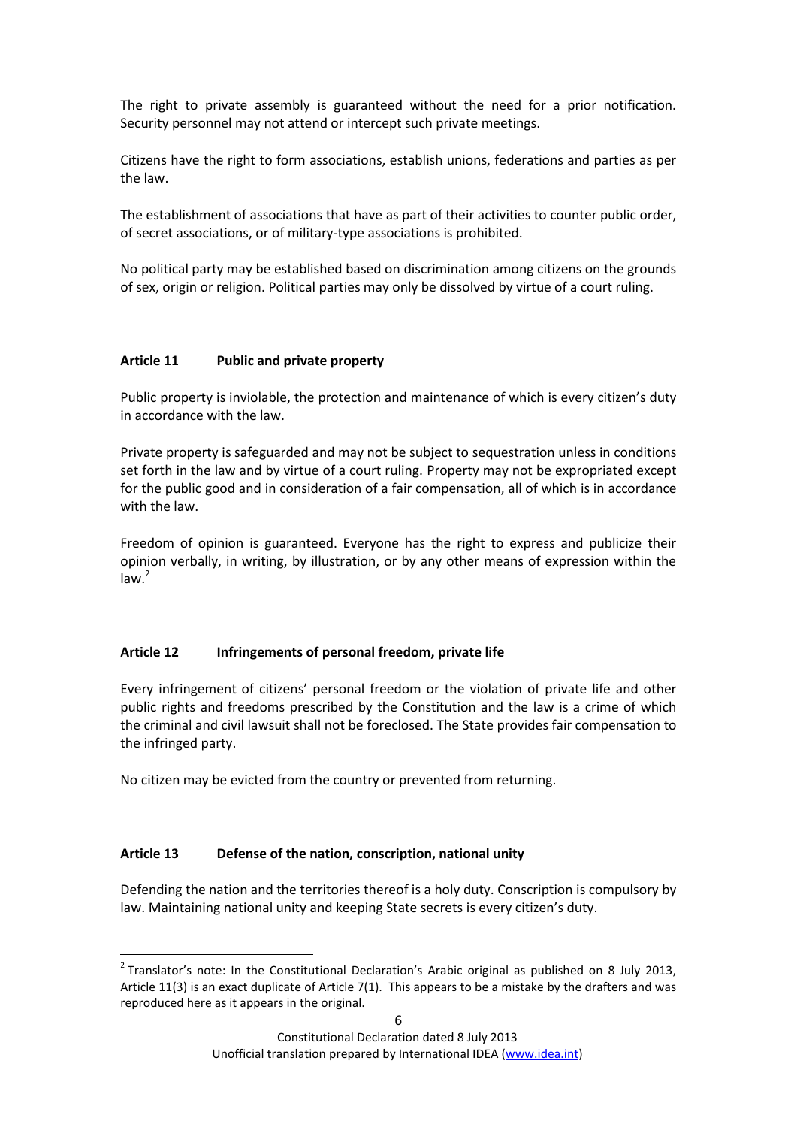The right to private assembly is guaranteed without the need for a prior notification. Security personnel may not attend or intercept such private meetings.

Citizens have the right to form associations, establish unions, federations and parties as per the law.

The establishment of associations that have as part of their activities to counter public order, of secret associations, or of military-type associations is prohibited.

No political party may be established based on discrimination among citizens on the grounds of sex, origin or religion. Political parties may only be dissolved by virtue of a court ruling.

## <span id="page-5-0"></span>**Article 11 Public and private property**

Public property is inviolable, the protection and maintenance of which is every citizen's duty in accordance with the law.

Private property is safeguarded and may not be subject to sequestration unless in conditions set forth in the law and by virtue of a court ruling. Property may not be expropriated except for the public good and in consideration of a fair compensation, all of which is in accordance with the law.

Freedom of opinion is guaranteed. Everyone has the right to express and publicize their opinion verbally, in writing, by illustration, or by any other means of expression within the  $law.<sup>2</sup>$ 

## <span id="page-5-1"></span>**Article 12 Infringements of personal freedom, private life**

Every infringement of citizens' personal freedom or the violation of private life and other public rights and freedoms prescribed by the Constitution and the law is a crime of which the criminal and civil lawsuit shall not be foreclosed. The State provides fair compensation to the infringed party.

No citizen may be evicted from the country or prevented from returning.

## <span id="page-5-2"></span>**Article 13 Defense of the nation, conscription, national unity**

**.** 

Defending the nation and the territories thereof is a holy duty. Conscription is compulsory by law. Maintaining national unity and keeping State secrets is every citizen's duty.

 $2$  Translator's note: In the Constitutional Declaration's Arabic original as published on 8 July 2013, Article 11(3) is an exact duplicate of Article 7(1). This appears to be a mistake by the drafters and was reproduced here as it appears in the original.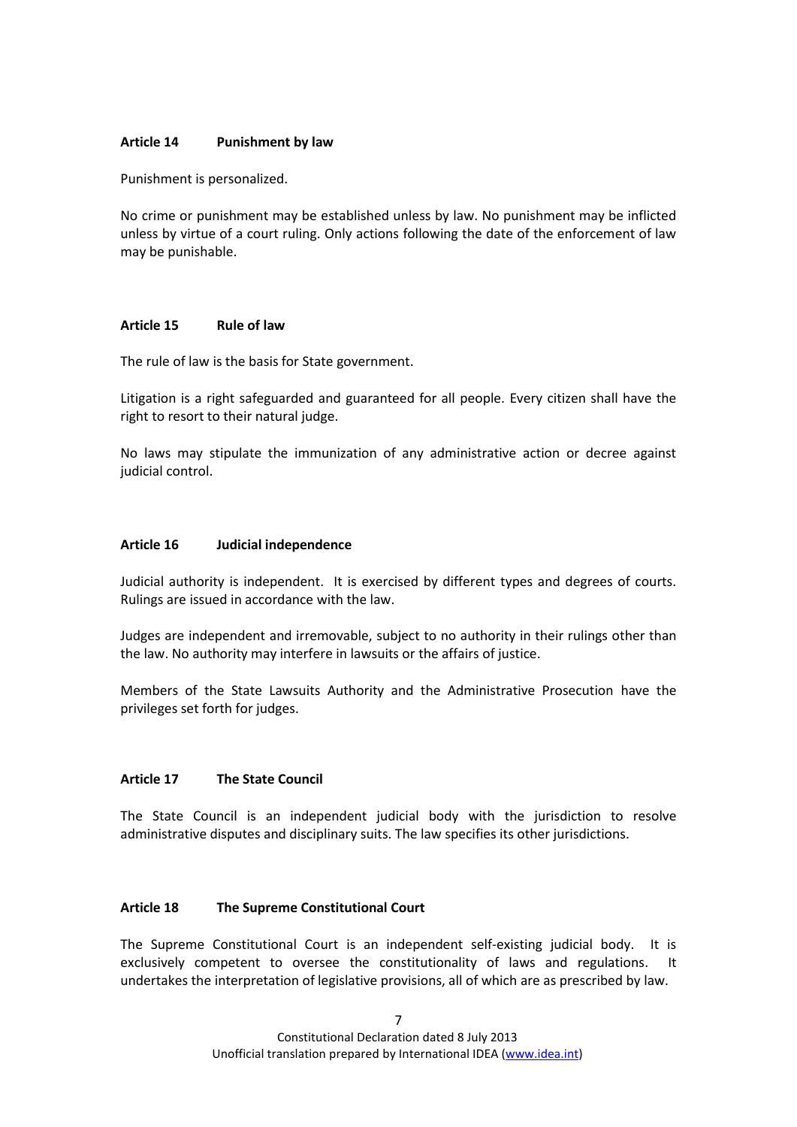#### <span id="page-6-0"></span>**Article 14 Punishment by law**

Punishment is personalized.

No crime or punishment may be established unless by law. No punishment may be inflicted unless by virtue of a court ruling. Only actions following the date of the enforcement of law may be punishable.

#### <span id="page-6-1"></span>**Article 15 Rule of law**

The rule of law is the basis for State government.

Litigation is a right safeguarded and guaranteed for all people. Every citizen shall have the right to resort to their natural judge.

No laws may stipulate the immunization of any administrative action or decree against judicial control.

#### <span id="page-6-2"></span>**Article 16 Judicial independence**

Judicial authority is independent. It is exercised by different types and degrees of courts. Rulings are issued in accordance with the law.

Judges are independent and irremovable, subject to no authority in their rulings other than the law. No authority may interfere in lawsuits or the affairs of justice.

Members of the State Lawsuits Authority and the Administrative Prosecution have the privileges set forth for judges.

## <span id="page-6-3"></span>**Article 17 The State Council**

The State Council is an independent judicial body with the jurisdiction to resolve administrative disputes and disciplinary suits. The law specifies its other jurisdictions.

## <span id="page-6-4"></span>**Article 18 The Supreme Constitutional Court**

The Supreme Constitutional Court is an independent self-existing judicial body. It is exclusively competent to oversee the constitutionality of laws and regulations. It undertakes the interpretation of legislative provisions, all of which are as prescribed by law.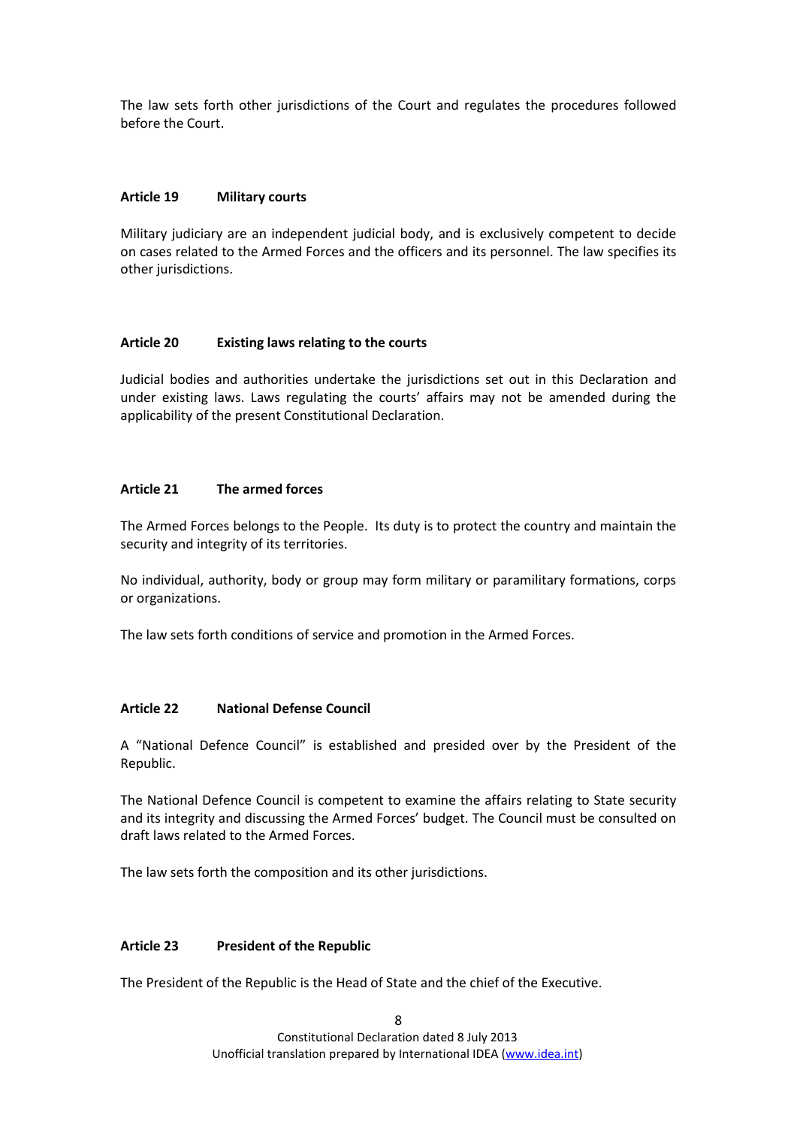The law sets forth other jurisdictions of the Court and regulates the procedures followed before the Court.

### <span id="page-7-0"></span>**Article 19 Military courts**

Military judiciary are an independent judicial body, and is exclusively competent to decide on cases related to the Armed Forces and the officers and its personnel. The law specifies its other jurisdictions.

#### <span id="page-7-1"></span>**Article 20 Existing laws relating to the courts**

Judicial bodies and authorities undertake the jurisdictions set out in this Declaration and under existing laws. Laws regulating the courts' affairs may not be amended during the applicability of the present Constitutional Declaration.

#### <span id="page-7-2"></span>**Article 21 The armed forces**

The Armed Forces belongs to the People. Its duty is to protect the country and maintain the security and integrity of its territories.

No individual, authority, body or group may form military or paramilitary formations, corps or organizations.

The law sets forth conditions of service and promotion in the Armed Forces.

#### <span id="page-7-3"></span>**Article 22 National Defense Council**

A "National Defence Council" is established and presided over by the President of the Republic.

The National Defence Council is competent to examine the affairs relating to State security and its integrity and discussing the Armed Forces' budget. The Council must be consulted on draft laws related to the Armed Forces.

The law sets forth the composition and its other jurisdictions.

#### <span id="page-7-4"></span>**Article 23 President of the Republic**

The President of the Republic is the Head of State and the chief of the Executive.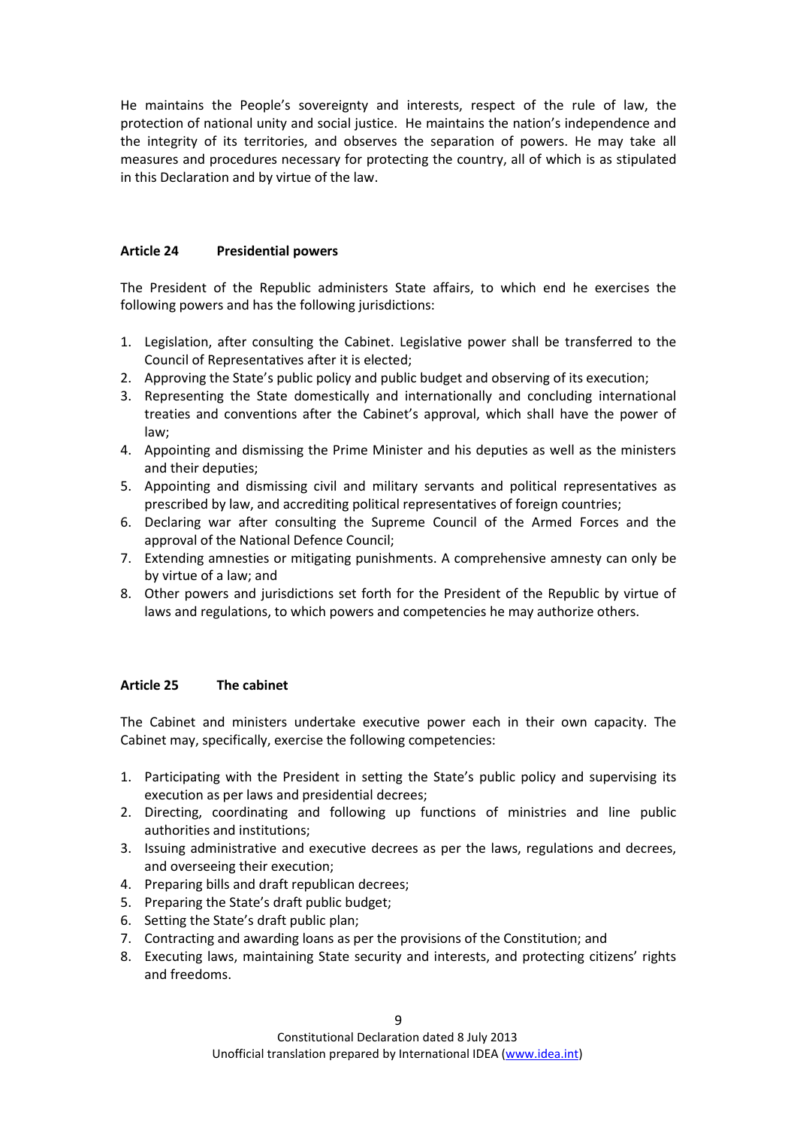He maintains the People's sovereignty and interests, respect of the rule of law, the protection of national unity and social justice. He maintains the nation's independence and the integrity of its territories, and observes the separation of powers. He may take all measures and procedures necessary for protecting the country, all of which is as stipulated in this Declaration and by virtue of the law.

## <span id="page-8-0"></span>**Article 24 Presidential powers**

The President of the Republic administers State affairs, to which end he exercises the following powers and has the following jurisdictions:

- 1. Legislation, after consulting the Cabinet. Legislative power shall be transferred to the Council of Representatives after it is elected;
- 2. Approving the State's public policy and public budget and observing of its execution;
- 3. Representing the State domestically and internationally and concluding international treaties and conventions after the Cabinet's approval, which shall have the power of law;
- 4. Appointing and dismissing the Prime Minister and his deputies as well as the ministers and their deputies;
- 5. Appointing and dismissing civil and military servants and political representatives as prescribed by law, and accrediting political representatives of foreign countries;
- 6. Declaring war after consulting the Supreme Council of the Armed Forces and the approval of the National Defence Council;
- 7. Extending amnesties or mitigating punishments. A comprehensive amnesty can only be by virtue of a law; and
- 8. Other powers and jurisdictions set forth for the President of the Republic by virtue of laws and regulations, to which powers and competencies he may authorize others.

## <span id="page-8-1"></span>**Article 25 The cabinet**

The Cabinet and ministers undertake executive power each in their own capacity. The Cabinet may, specifically, exercise the following competencies:

- 1. Participating with the President in setting the State's public policy and supervising its execution as per laws and presidential decrees;
- 2. Directing, coordinating and following up functions of ministries and line public authorities and institutions;
- 3. Issuing administrative and executive decrees as per the laws, regulations and decrees, and overseeing their execution;
- 4. Preparing bills and draft republican decrees;
- 5. Preparing the State's draft public budget;
- 6. Setting the State's draft public plan;
- 7. Contracting and awarding loans as per the provisions of the Constitution; and
- 8. Executing laws, maintaining State security and interests, and protecting citizens' rights and freedoms.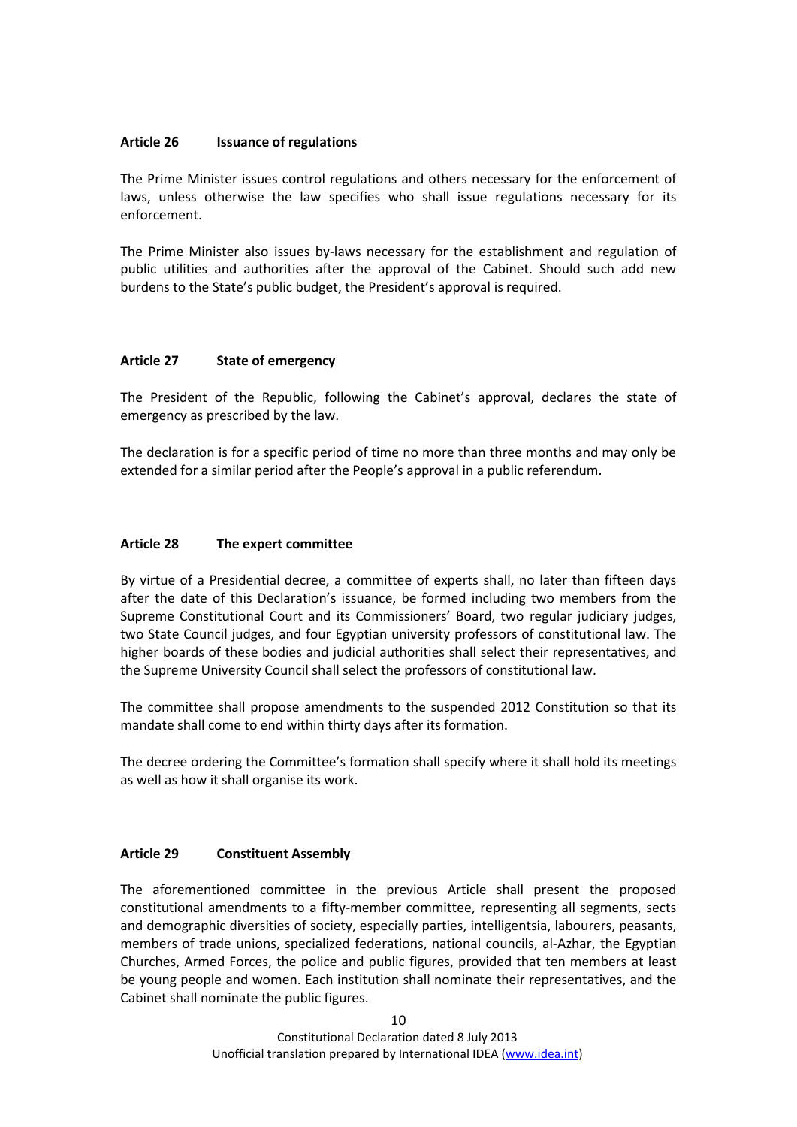#### <span id="page-9-0"></span>**Article 26 Issuance of regulations**

The Prime Minister issues control regulations and others necessary for the enforcement of laws, unless otherwise the law specifies who shall issue regulations necessary for its enforcement.

The Prime Minister also issues by-laws necessary for the establishment and regulation of public utilities and authorities after the approval of the Cabinet. Should such add new burdens to the State's public budget, the President's approval is required.

## <span id="page-9-1"></span>**Article 27 State of emergency**

The President of the Republic, following the Cabinet's approval, declares the state of emergency as prescribed by the law.

The declaration is for a specific period of time no more than three months and may only be extended for a similar period after the People's approval in a public referendum.

#### <span id="page-9-2"></span>**Article 28 The expert committee**

By virtue of a Presidential decree, a committee of experts shall, no later than fifteen days after the date of this Declaration's issuance, be formed including two members from the Supreme Constitutional Court and its Commissioners' Board, two regular judiciary judges, two State Council judges, and four Egyptian university professors of constitutional law. The higher boards of these bodies and judicial authorities shall select their representatives, and the Supreme University Council shall select the professors of constitutional law.

The committee shall propose amendments to the suspended 2012 Constitution so that its mandate shall come to end within thirty days after its formation.

The decree ordering the Committee's formation shall specify where it shall hold its meetings as well as how it shall organise its work.

## <span id="page-9-3"></span>**Article 29 Constituent Assembly**

The aforementioned committee in the previous Article shall present the proposed constitutional amendments to a fifty-member committee, representing all segments, sects and demographic diversities of society, especially parties, intelligentsia, labourers, peasants, members of trade unions, specialized federations, national councils, al-Azhar, the Egyptian Churches, Armed Forces, the police and public figures, provided that ten members at least be young people and women. Each institution shall nominate their representatives, and the Cabinet shall nominate the public figures.